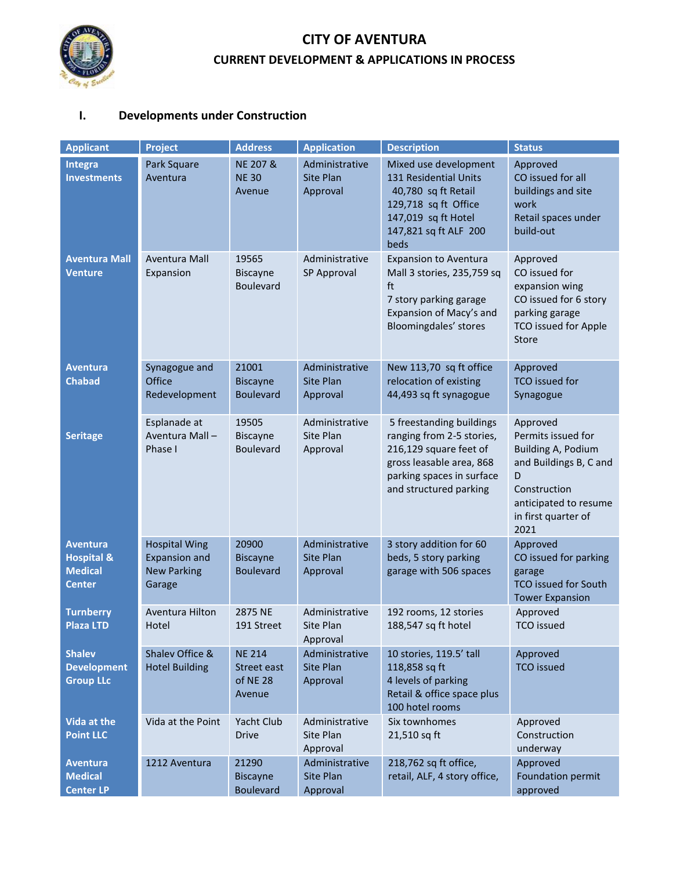

## **CITY OF AVENTURA CURRENT DEVELOPMENT & APPLICATIONS IN PROCESS**

## **I. Developments under Construction**

| <b>Applicant</b>                                                            | <b>Project</b>                                                               | <b>Address</b>                                     | <b>Application</b>                             | <b>Description</b>                                                                                                                                                 | <b>Status</b>                                                                                                                                                      |
|-----------------------------------------------------------------------------|------------------------------------------------------------------------------|----------------------------------------------------|------------------------------------------------|--------------------------------------------------------------------------------------------------------------------------------------------------------------------|--------------------------------------------------------------------------------------------------------------------------------------------------------------------|
| Integra<br><b>Investments</b>                                               | Park Square<br>Aventura                                                      | <b>NE 207 &amp;</b><br><b>NE 30</b><br>Avenue      | Administrative<br>Site Plan<br>Approval        | Mixed use development<br>131 Residential Units<br>40,780 sq ft Retail<br>129,718 sq ft Office<br>147,019 sq ft Hotel<br>147,821 sq ft ALF 200<br>beds              | Approved<br>CO issued for all<br>buildings and site<br>work<br>Retail spaces under<br>build-out                                                                    |
| <b>Aventura Mall</b><br><b>Venture</b>                                      | Aventura Mall<br>Expansion                                                   | 19565<br>Biscayne<br><b>Boulevard</b>              | Administrative<br>SP Approval                  | <b>Expansion to Aventura</b><br>Mall 3 stories, 235,759 sq<br>ft<br>7 story parking garage<br>Expansion of Macy's and<br>Bloomingdales' stores                     | Approved<br>CO issued for<br>expansion wing<br>CO issued for 6 story<br>parking garage<br><b>TCO issued for Apple</b><br>Store                                     |
| <b>Aventura</b><br><b>Chabad</b>                                            | Synagogue and<br>Office<br>Redevelopment                                     | 21001<br><b>Biscayne</b><br><b>Boulevard</b>       | Administrative<br><b>Site Plan</b><br>Approval | New 113,70 sq ft office<br>relocation of existing<br>44,493 sq ft synagogue                                                                                        | Approved<br><b>TCO</b> issued for<br>Synagogue                                                                                                                     |
| <b>Seritage</b>                                                             | Esplanade at<br>Aventura Mall-<br>Phase I                                    | 19505<br><b>Biscayne</b><br><b>Boulevard</b>       | Administrative<br>Site Plan<br>Approval        | 5 freestanding buildings<br>ranging from 2-5 stories,<br>216,129 square feet of<br>gross leasable area, 868<br>parking spaces in surface<br>and structured parking | Approved<br>Permits issued for<br><b>Building A, Podium</b><br>and Buildings B, C and<br>D<br>Construction<br>anticipated to resume<br>in first quarter of<br>2021 |
| <b>Aventura</b><br><b>Hospital &amp;</b><br><b>Medical</b><br><b>Center</b> | <b>Hospital Wing</b><br><b>Expansion and</b><br><b>New Parking</b><br>Garage | 20900<br><b>Biscayne</b><br><b>Boulevard</b>       | Administrative<br><b>Site Plan</b><br>Approval | 3 story addition for 60<br>beds, 5 story parking<br>garage with 506 spaces                                                                                         | Approved<br>CO issued for parking<br>garage<br><b>TCO issued for South</b><br><b>Tower Expansion</b>                                                               |
| <b>Turnberry</b><br><b>Plaza LTD</b>                                        | Aventura Hilton<br>Hotel                                                     | 2875 NE<br>191 Street                              | Administrative<br>Site Plan<br>Approval        | 192 rooms, 12 stories<br>188,547 sq ft hotel                                                                                                                       | Approved<br><b>TCO</b> issued                                                                                                                                      |
| <b>Shalev</b><br><b>Development</b><br><b>Group LLc</b>                     | Shalev Office &<br><b>Hotel Building</b>                                     | <b>NE 214</b><br>Street east<br>of NE 28<br>Avenue | Administrative<br>Site Plan<br>Approval        | 10 stories, 119.5' tall<br>118,858 sq ft<br>4 levels of parking<br>Retail & office space plus<br>100 hotel rooms                                                   | Approved<br><b>TCO</b> issued                                                                                                                                      |
| <b>Vida at the</b><br><b>Point LLC</b>                                      | Vida at the Point                                                            | Yacht Club<br><b>Drive</b>                         | Administrative<br>Site Plan<br>Approval        | Six townhomes<br>21,510 sq ft                                                                                                                                      | Approved<br>Construction<br>underway                                                                                                                               |
| Aventura<br><b>Medical</b><br><b>Center LP</b>                              | 1212 Aventura                                                                | 21290<br><b>Biscayne</b><br><b>Boulevard</b>       | Administrative<br>Site Plan<br>Approval        | 218,762 sq ft office,<br>retail, ALF, 4 story office,                                                                                                              | Approved<br>Foundation permit<br>approved                                                                                                                          |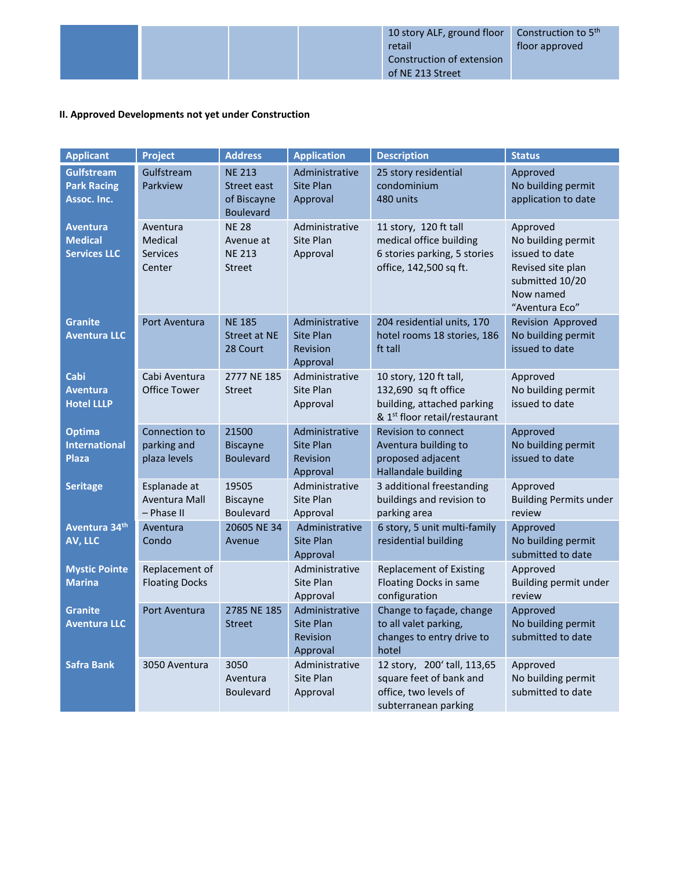## **II. Approved Developments not yet under Construction**

| <b>Applicant</b>                                         | Project                                          | <b>Address</b>                                                  | <b>Application</b>                                         | <b>Description</b>                                                                                                        | <b>Status</b>                                                                                                           |
|----------------------------------------------------------|--------------------------------------------------|-----------------------------------------------------------------|------------------------------------------------------------|---------------------------------------------------------------------------------------------------------------------------|-------------------------------------------------------------------------------------------------------------------------|
| <b>Gulfstream</b><br><b>Park Racing</b><br>Assoc. Inc.   | Gulfstream<br>Parkview                           | <b>NE 213</b><br>Street east<br>of Biscayne<br><b>Boulevard</b> | Administrative<br>Site Plan<br>Approval                    | 25 story residential<br>condominium<br>480 units                                                                          | Approved<br>No building permit<br>application to date                                                                   |
| <b>Aventura</b><br><b>Medical</b><br><b>Services LLC</b> | Aventura<br>Medical<br><b>Services</b><br>Center | <b>NE 28</b><br>Avenue at<br><b>NE 213</b><br><b>Street</b>     | Administrative<br>Site Plan<br>Approval                    | 11 story, 120 ft tall<br>medical office building<br>6 stories parking, 5 stories<br>office, 142,500 sq ft.                | Approved<br>No building permit<br>issued to date<br>Revised site plan<br>submitted 10/20<br>Now named<br>"Aventura Eco" |
| <b>Granite</b><br><b>Aventura LLC</b>                    | Port Aventura                                    | <b>NE 185</b><br>Street at NE<br>28 Court                       | Administrative<br><b>Site Plan</b><br>Revision<br>Approval | 204 residential units, 170<br>hotel rooms 18 stories, 186<br>ft tall                                                      | Revision Approved<br>No building permit<br>issued to date                                                               |
| Cabi<br><b>Aventura</b><br><b>Hotel LLLP</b>             | Cabi Aventura<br><b>Office Tower</b>             | 2777 NE 185<br><b>Street</b>                                    | Administrative<br>Site Plan<br>Approval                    | 10 story, 120 ft tall,<br>132,690 sq ft office<br>building, attached parking<br>& 1 <sup>st</sup> floor retail/restaurant | Approved<br>No building permit<br>issued to date                                                                        |
| <b>Optima</b><br><b>International</b><br><b>Plaza</b>    | Connection to<br>parking and<br>plaza levels     | 21500<br><b>Biscayne</b><br><b>Boulevard</b>                    | Administrative<br><b>Site Plan</b><br>Revision<br>Approval | Revision to connect<br>Aventura building to<br>proposed adjacent<br>Hallandale building                                   | Approved<br>No building permit<br>issued to date                                                                        |
| <b>Seritage</b>                                          | Esplanade at<br>Aventura Mall<br>- Phase II      | 19505<br><b>Biscayne</b><br><b>Boulevard</b>                    | Administrative<br>Site Plan<br>Approval                    | 3 additional freestanding<br>buildings and revision to<br>parking area                                                    | Approved<br><b>Building Permits under</b><br>review                                                                     |
| Aventura 34 <sup>th</sup><br>AV, LLC                     | Aventura<br>Condo                                | 20605 NE 34<br>Avenue                                           | Administrative<br><b>Site Plan</b><br>Approval             | 6 story, 5 unit multi-family<br>residential building                                                                      | Approved<br>No building permit<br>submitted to date                                                                     |
| <b>Mystic Pointe</b><br><b>Marina</b>                    | Replacement of<br><b>Floating Docks</b>          |                                                                 | Administrative<br>Site Plan<br>Approval                    | <b>Replacement of Existing</b><br>Floating Docks in same<br>configuration                                                 | Approved<br>Building permit under<br>review                                                                             |
| <b>Granite</b><br><b>Aventura LLC</b>                    | Port Aventura                                    | 2785 NE 185<br><b>Street</b>                                    | Administrative<br><b>Site Plan</b><br>Revision<br>Approval | Change to façade, change<br>to all valet parking,<br>changes to entry drive to<br>hotel                                   | Approved<br>No building permit<br>submitted to date                                                                     |
| <b>Safra Bank</b>                                        | 3050 Aventura                                    | 3050<br>Aventura<br><b>Boulevard</b>                            | Administrative<br>Site Plan<br>Approval                    | 12 story, 200' tall, 113,65<br>square feet of bank and<br>office, two levels of<br>subterranean parking                   | Approved<br>No building permit<br>submitted to date                                                                     |